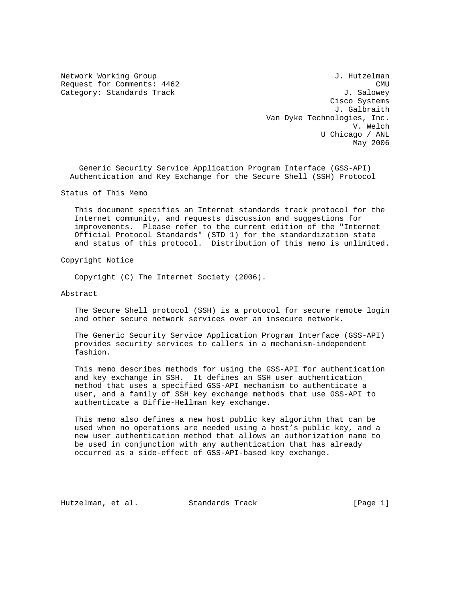Network Working Group and the set of the set of the set of the set of the set of the set of the set of the set of the set of the set of the set of the set of the set of the set of the set of the set of the set of the set o Request for Comments:  $4462$  CMU Category: Standards Track J. Salowey Cisco Systems J. Galbraith Van Dyke Technologies, Inc. V. Welch U Chicago / ANL May 2006

 Generic Security Service Application Program Interface (GSS-API) Authentication and Key Exchange for the Secure Shell (SSH) Protocol

Status of This Memo

 This document specifies an Internet standards track protocol for the Internet community, and requests discussion and suggestions for improvements. Please refer to the current edition of the "Internet Official Protocol Standards" (STD 1) for the standardization state and status of this protocol. Distribution of this memo is unlimited.

Copyright Notice

Copyright (C) The Internet Society (2006).

Abstract

 The Secure Shell protocol (SSH) is a protocol for secure remote login and other secure network services over an insecure network.

 The Generic Security Service Application Program Interface (GSS-API) provides security services to callers in a mechanism-independent fashion.

 This memo describes methods for using the GSS-API for authentication and key exchange in SSH. It defines an SSH user authentication method that uses a specified GSS-API mechanism to authenticate a user, and a family of SSH key exchange methods that use GSS-API to authenticate a Diffie-Hellman key exchange.

 This memo also defines a new host public key algorithm that can be used when no operations are needed using a host's public key, and a new user authentication method that allows an authorization name to be used in conjunction with any authentication that has already occurred as a side-effect of GSS-API-based key exchange.

Hutzelman, et al. Standards Track [Page 1]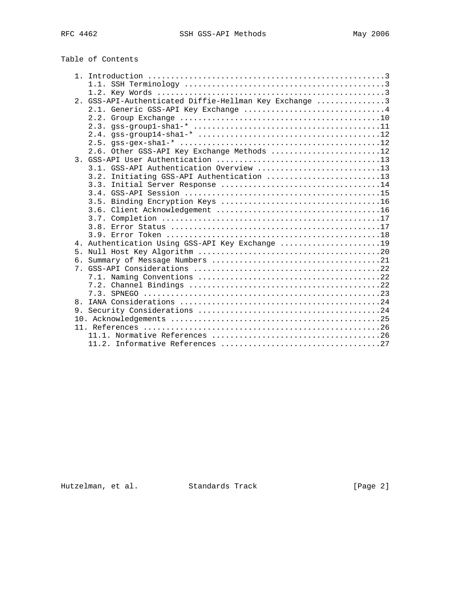| Table of Contents |  |  |  |
|-------------------|--|--|--|
|-------------------|--|--|--|

|    | 2. GSS-API-Authenticated Diffie-Hellman Key Exchange 3 |
|----|--------------------------------------------------------|
|    | 2.1. Generic GSS-API Key Exchange 4                    |
|    |                                                        |
|    |                                                        |
|    | 2.4. $qss-qroup14 - sha1 - *           12$             |
|    |                                                        |
|    | 2.6. Other GSS-API Key Exchange Methods 12             |
|    |                                                        |
|    | 3.1. GSS-API Authentication Overview 13                |
|    | 3.2. Initiating GSS-API Authentication 13              |
|    |                                                        |
|    |                                                        |
|    |                                                        |
|    |                                                        |
|    |                                                        |
|    |                                                        |
|    |                                                        |
|    | 4. Authentication Using GSS-API Key Exchange 19        |
| 5. |                                                        |
|    |                                                        |
|    |                                                        |
|    |                                                        |
|    |                                                        |
|    |                                                        |
| 8. |                                                        |
|    |                                                        |
|    |                                                        |
|    |                                                        |
|    |                                                        |
|    |                                                        |

Hutzelman, et al. Standards Track [Page 2]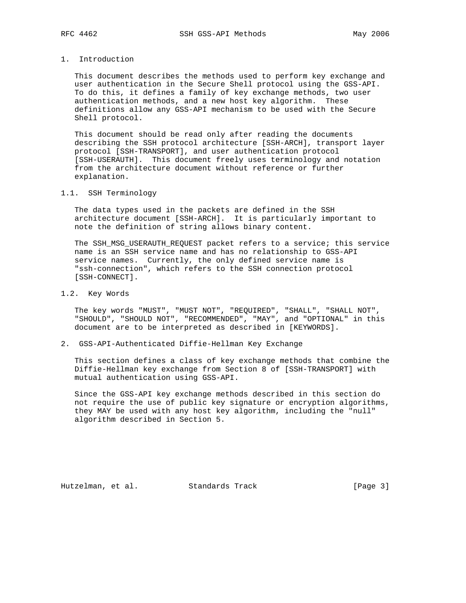# 1. Introduction

 This document describes the methods used to perform key exchange and user authentication in the Secure Shell protocol using the GSS-API. To do this, it defines a family of key exchange methods, two user authentication methods, and a new host key algorithm. These definitions allow any GSS-API mechanism to be used with the Secure Shell protocol.

 This document should be read only after reading the documents describing the SSH protocol architecture [SSH-ARCH], transport layer protocol [SSH-TRANSPORT], and user authentication protocol [SSH-USERAUTH]. This document freely uses terminology and notation from the architecture document without reference or further explanation.

## 1.1. SSH Terminology

 The data types used in the packets are defined in the SSH architecture document [SSH-ARCH]. It is particularly important to note the definition of string allows binary content.

 The SSH\_MSG\_USERAUTH\_REQUEST packet refers to a service; this service name is an SSH service name and has no relationship to GSS-API service names. Currently, the only defined service name is "ssh-connection", which refers to the SSH connection protocol [SSH-CONNECT].

# 1.2. Key Words

 The key words "MUST", "MUST NOT", "REQUIRED", "SHALL", "SHALL NOT", "SHOULD", "SHOULD NOT", "RECOMMENDED", "MAY", and "OPTIONAL" in this document are to be interpreted as described in [KEYWORDS].

# 2. GSS-API-Authenticated Diffie-Hellman Key Exchange

 This section defines a class of key exchange methods that combine the Diffie-Hellman key exchange from Section 8 of [SSH-TRANSPORT] with mutual authentication using GSS-API.

 Since the GSS-API key exchange methods described in this section do not require the use of public key signature or encryption algorithms, they MAY be used with any host key algorithm, including the "null" algorithm described in Section 5.

Hutzelman, et al. Standards Track [Page 3]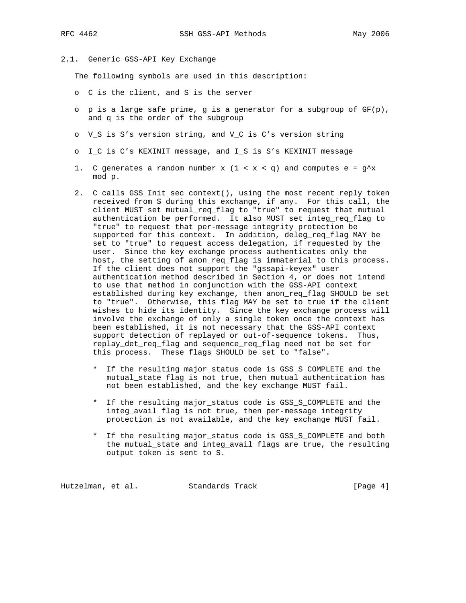# 2.1. Generic GSS-API Key Exchange

The following symbols are used in this description:

- o C is the client, and S is the server
- o p is a large safe prime, g is a generator for a subgroup of GF(p), and q is the order of the subgroup
- o V\_S is S's version string, and V\_C is C's version string
- o I\_C is C's KEXINIT message, and I\_S is S's KEXINIT message
- 1. C generates a random number x  $(1 < x < q)$  and computes e =  $q^x$ mod p.
- 2. C calls GSS\_Init\_sec\_context(), using the most recent reply token received from S during this exchange, if any. For this call, the client MUST set mutual\_req\_flag to "true" to request that mutual authentication be performed. It also MUST set integ\_req\_flag to "true" to request that per-message integrity protection be supported for this context. In addition, deleg\_req\_flag MAY be set to "true" to request access delegation, if requested by the user. Since the key exchange process authenticates only the host, the setting of anon\_req\_flag is immaterial to this process. If the client does not support the "gssapi-keyex" user authentication method described in Section 4, or does not intend to use that method in conjunction with the GSS-API context established during key exchange, then anon\_req\_flag SHOULD be set to "true". Otherwise, this flag MAY be set to true if the client wishes to hide its identity. Since the key exchange process will involve the exchange of only a single token once the context has been established, it is not necessary that the GSS-API context support detection of replayed or out-of-sequence tokens. Thus, replay\_det\_req\_flag and sequence\_req\_flag need not be set for this process. These flags SHOULD be set to "false".
	- If the resulting major\_status code is GSS\_S\_COMPLETE and the mutual\_state flag is not true, then mutual authentication has not been established, and the key exchange MUST fail.
	- \* If the resulting major\_status code is GSS\_S\_COMPLETE and the integ\_avail flag is not true, then per-message integrity protection is not available, and the key exchange MUST fail.
	- \* If the resulting major\_status code is GSS\_S\_COMPLETE and both the mutual\_state and integ\_avail flags are true, the resulting output token is sent to S.

Hutzelman, et al. Standards Track [Page 4]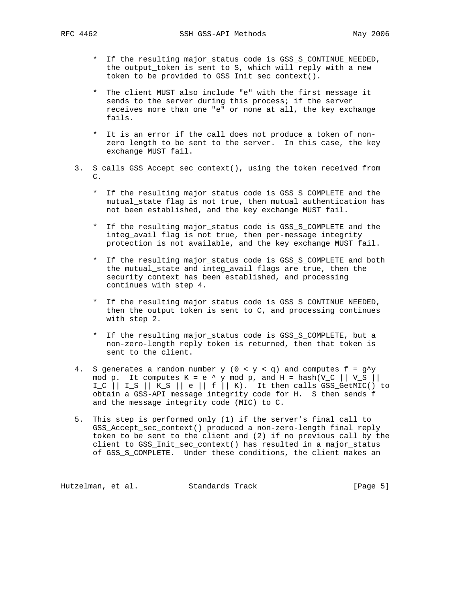- \* If the resulting major\_status code is GSS\_S\_CONTINUE\_NEEDED, the output\_token is sent to S, which will reply with a new token to be provided to GSS\_Init\_sec\_context().
- \* The client MUST also include "e" with the first message it sends to the server during this process; if the server receives more than one "e" or none at all, the key exchange fails.
- \* It is an error if the call does not produce a token of non zero length to be sent to the server. In this case, the key exchange MUST fail.
- 3. S calls GSS\_Accept\_sec\_context(), using the token received from C.
	- \* If the resulting major\_status code is GSS\_S\_COMPLETE and the mutual\_state flag is not true, then mutual authentication has not been established, and the key exchange MUST fail.
	- \* If the resulting major\_status code is GSS\_S\_COMPLETE and the integ\_avail flag is not true, then per-message integrity protection is not available, and the key exchange MUST fail.
	- \* If the resulting major\_status code is GSS\_S\_COMPLETE and both the mutual\_state and integ\_avail flags are true, then the security context has been established, and processing continues with step 4.
	- \* If the resulting major\_status code is GSS\_S\_CONTINUE\_NEEDED, then the output token is sent to C, and processing continues with step 2.
	- \* If the resulting major\_status code is GSS\_S\_COMPLETE, but a non-zero-length reply token is returned, then that token is sent to the client.
- 4. S generates a random number  $y$  (0 <  $y$  < q) and computes f =  $g^{\wedge}y$ mod p. It computes K = e ^ y mod p, and H = hash(V\_C  $||$  V\_S  $||$ I\_C  $||$  I\_S  $||$  K\_S  $||$  e  $||$  f  $||$  K). It then calls GSS\_GetMIC() to obtain a GSS-API message integrity code for H. S then sends f and the message integrity code (MIC) to C.
	- 5. This step is performed only (1) if the server's final call to GSS\_Accept\_sec\_context() produced a non-zero-length final reply token to be sent to the client and (2) if no previous call by the client to GSS\_Init\_sec\_context() has resulted in a major\_status of GSS\_S\_COMPLETE. Under these conditions, the client makes an

Hutzelman, et al. Standards Track [Page 5]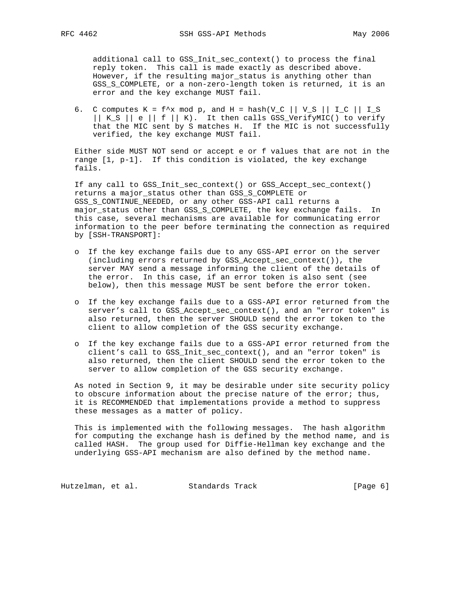additional call to GSS\_Init\_sec\_context() to process the final reply token. This call is made exactly as described above. However, if the resulting major\_status is anything other than GSS\_S\_COMPLETE, or a non-zero-length token is returned, it is an error and the key exchange MUST fail.

6. C computes  $K = f^x x \mod p$ , and  $H = hash(V_C || V_S || I_C || I_S$  || K\_S || e || f || K). It then calls GSS\_VerifyMIC() to verify that the MIC sent by S matches H. If the MIC is not successfully verified, the key exchange MUST fail.

 Either side MUST NOT send or accept e or f values that are not in the range [1, p-1]. If this condition is violated, the key exchange fails.

 If any call to GSS\_Init\_sec\_context() or GSS\_Accept\_sec\_context() returns a major\_status other than GSS\_S\_COMPLETE or GSS\_S\_CONTINUE\_NEEDED, or any other GSS-API call returns a major\_status other than GSS\_S\_COMPLETE, the key exchange fails. In this case, several mechanisms are available for communicating error information to the peer before terminating the connection as required by [SSH-TRANSPORT]:

- o If the key exchange fails due to any GSS-API error on the server (including errors returned by GSS\_Accept\_sec\_context()), the server MAY send a message informing the client of the details of the error. In this case, if an error token is also sent (see below), then this message MUST be sent before the error token.
- o If the key exchange fails due to a GSS-API error returned from the server's call to GSS\_Accept\_sec\_context(), and an "error token" is also returned, then the server SHOULD send the error token to the client to allow completion of the GSS security exchange.
- o If the key exchange fails due to a GSS-API error returned from the client's call to GSS\_Init\_sec\_context(), and an "error token" is also returned, then the client SHOULD send the error token to the server to allow completion of the GSS security exchange.

 As noted in Section 9, it may be desirable under site security policy to obscure information about the precise nature of the error; thus, it is RECOMMENDED that implementations provide a method to suppress these messages as a matter of policy.

 This is implemented with the following messages. The hash algorithm for computing the exchange hash is defined by the method name, and is called HASH. The group used for Diffie-Hellman key exchange and the underlying GSS-API mechanism are also defined by the method name.

Hutzelman, et al. Standards Track (Page 6)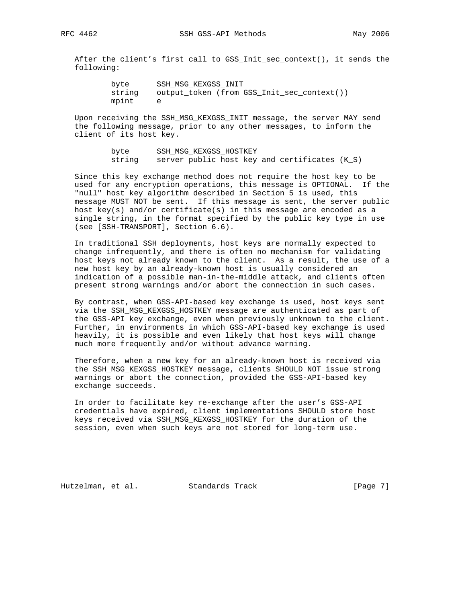After the client's first call to GSS\_Init\_sec\_context(), it sends the following:

```
 byte SSH_MSG_KEXGSS_INIT
string output_token (from GSS_Init_sec_context())
mpint e
```
 Upon receiving the SSH\_MSG\_KEXGSS\_INIT message, the server MAY send the following message, prior to any other messages, to inform the client of its host key.

> byte SSH\_MSG\_KEXGSS\_HOSTKEY string server public host key and certificates (K\_S)

 Since this key exchange method does not require the host key to be used for any encryption operations, this message is OPTIONAL. If the "null" host key algorithm described in Section 5 is used, this message MUST NOT be sent. If this message is sent, the server public host key(s) and/or certificate(s) in this message are encoded as a single string, in the format specified by the public key type in use (see [SSH-TRANSPORT], Section 6.6).

 In traditional SSH deployments, host keys are normally expected to change infrequently, and there is often no mechanism for validating host keys not already known to the client. As a result, the use of a new host key by an already-known host is usually considered an indication of a possible man-in-the-middle attack, and clients often present strong warnings and/or abort the connection in such cases.

 By contrast, when GSS-API-based key exchange is used, host keys sent via the SSH\_MSG\_KEXGSS\_HOSTKEY message are authenticated as part of the GSS-API key exchange, even when previously unknown to the client. Further, in environments in which GSS-API-based key exchange is used heavily, it is possible and even likely that host keys will change much more frequently and/or without advance warning.

 Therefore, when a new key for an already-known host is received via the SSH\_MSG\_KEXGSS\_HOSTKEY message, clients SHOULD NOT issue strong warnings or abort the connection, provided the GSS-API-based key exchange succeeds.

 In order to facilitate key re-exchange after the user's GSS-API credentials have expired, client implementations SHOULD store host keys received via SSH\_MSG\_KEXGSS\_HOSTKEY for the duration of the session, even when such keys are not stored for long-term use.

Hutzelman, et al. Standards Track [Page 7]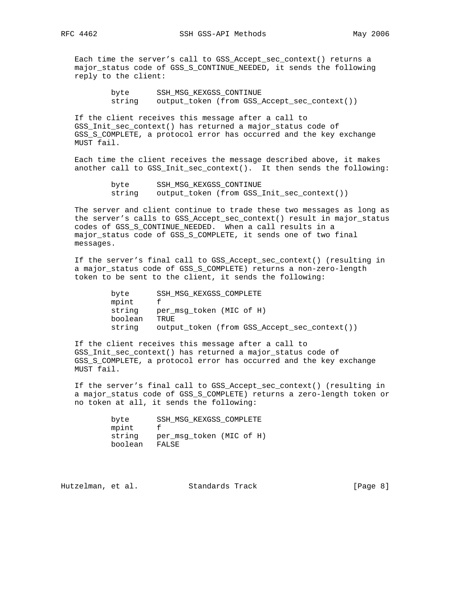Each time the server's call to GSS\_Accept\_sec\_context() returns a major\_status code of GSS\_S\_CONTINUE\_NEEDED, it sends the following reply to the client:

> byte SSH\_MSG\_KEXGSS\_CONTINUE string output\_token (from GSS\_Accept\_sec\_context())

 If the client receives this message after a call to GSS\_Init\_sec\_context() has returned a major\_status code of GSS S COMPLETE, a protocol error has occurred and the key exchange MUST fail.

 Each time the client receives the message described above, it makes another call to GSS\_Init\_sec\_context(). It then sends the following:

```
 byte SSH_MSG_KEXGSS_CONTINUE
string output_token (from GSS_Init_sec_context())
```
 The server and client continue to trade these two messages as long as the server's calls to GSS\_Accept\_sec\_context() result in major\_status codes of GSS\_S\_CONTINUE\_NEEDED. When a call results in a major\_status code of GSS\_S\_COMPLETE, it sends one of two final messages.

 If the server's final call to GSS\_Accept\_sec\_context() (resulting in a major\_status code of GSS\_S\_COMPLETE) returns a non-zero-length token to be sent to the client, it sends the following:

> byte SSH\_MSG\_KEXGSS\_COMPLETE mpint f string per\_msg\_token (MIC of H) boolean TRUE string output\_token (from GSS\_Accept\_sec\_context())

 If the client receives this message after a call to GSS\_Init\_sec\_context() has returned a major\_status code of GSS\_S\_COMPLETE, a protocol error has occurred and the key exchange MUST fail.

 If the server's final call to GSS\_Accept\_sec\_context() (resulting in a major\_status code of GSS\_S\_COMPLETE) returns a zero-length token or no token at all, it sends the following:

> byte SSH\_MSG\_KEXGSS\_COMPLETE mpint f string per\_msg\_token (MIC of H) boolean FALSE

Hutzelman, et al. Standards Track [Page 8]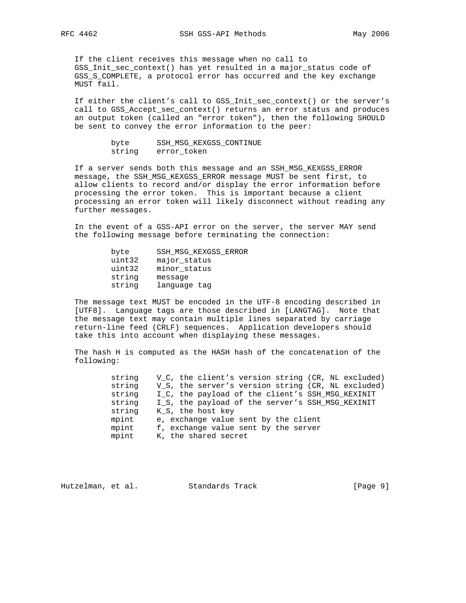If the client receives this message when no call to GSS\_Init\_sec\_context() has yet resulted in a major\_status code of GSS\_S\_COMPLETE, a protocol error has occurred and the key exchange MUST fail.

 If either the client's call to GSS\_Init\_sec\_context() or the server's call to GSS\_Accept\_sec\_context() returns an error status and produces an output token (called an "error token"), then the following SHOULD be sent to convey the error information to the peer:

| byte   | SSH MSG KEXGSS CONTINUE |
|--------|-------------------------|
| string | error token             |

 If a server sends both this message and an SSH\_MSG\_KEXGSS\_ERROR message, the SSH\_MSG\_KEXGSS\_ERROR message MUST be sent first, to allow clients to record and/or display the error information before processing the error token. This is important because a client processing an error token will likely disconnect without reading any further messages.

 In the event of a GSS-API error on the server, the server MAY send the following message before terminating the connection:

| SSH MSG KEXGSS ERROR |
|----------------------|
| major_status         |
| minor_status         |
| message              |
| language tag         |
|                      |

 The message text MUST be encoded in the UTF-8 encoding described in [UTF8]. Language tags are those described in [LANGTAG]. Note that the message text may contain multiple lines separated by carriage return-line feed (CRLF) sequences. Application developers should take this into account when displaying these messages.

 The hash H is computed as the HASH hash of the concatenation of the following:

| string | V C, the client's version string (CR, NL excluded)             |
|--------|----------------------------------------------------------------|
| string | V <sub>S</sub> , the server's version string (CR, NL excluded) |
| string | I_C, the payload of the client's SSH_MSG_KEXINIT               |
| string | I_S, the payload of the server's SSH_MSG_KEXINIT               |
| string | K S, the host key                                              |
| mpint  | e, exchange value sent by the client                           |
| mpint  | f, exchange value sent by the server                           |
| mpint  | K, the shared secret                                           |

Hutzelman, et al. Standards Track [Page 9]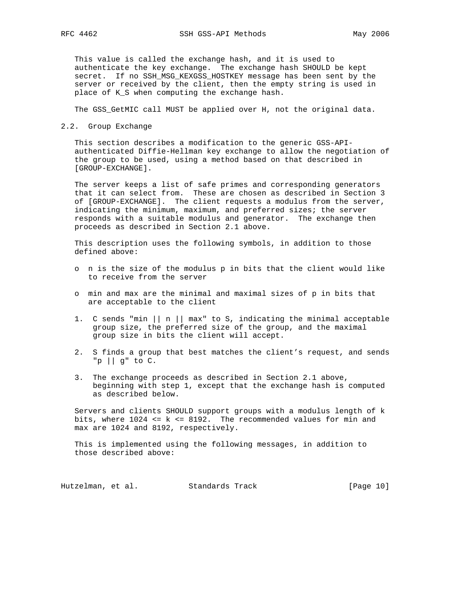This value is called the exchange hash, and it is used to authenticate the key exchange. The exchange hash SHOULD be kept secret. If no SSH\_MSG\_KEXGSS\_HOSTKEY message has been sent by the server or received by the client, then the empty string is used in place of K\_S when computing the exchange hash.

The GSS\_GetMIC call MUST be applied over H, not the original data.

2.2. Group Exchange

 This section describes a modification to the generic GSS-API authenticated Diffie-Hellman key exchange to allow the negotiation of the group to be used, using a method based on that described in [GROUP-EXCHANGE].

 The server keeps a list of safe primes and corresponding generators that it can select from. These are chosen as described in Section 3 of [GROUP-EXCHANGE]. The client requests a modulus from the server, indicating the minimum, maximum, and preferred sizes; the server responds with a suitable modulus and generator. The exchange then proceeds as described in Section 2.1 above.

 This description uses the following symbols, in addition to those defined above:

- o n is the size of the modulus p in bits that the client would like to receive from the server
- o min and max are the minimal and maximal sizes of p in bits that are acceptable to the client
- 1. C sends "min  $||n||$  max" to S, indicating the minimal acceptable group size, the preferred size of the group, and the maximal group size in bits the client will accept.
- 2. S finds a group that best matches the client's request, and sends "p || g" to C.
- 3. The exchange proceeds as described in Section 2.1 above, beginning with step 1, except that the exchange hash is computed as described below.

 Servers and clients SHOULD support groups with a modulus length of k bits, where  $1024 \leq k \leq 8192$ . The recommended values for min and max are 1024 and 8192, respectively.

 This is implemented using the following messages, in addition to those described above:

Hutzelman, et al. Standards Track [Page 10]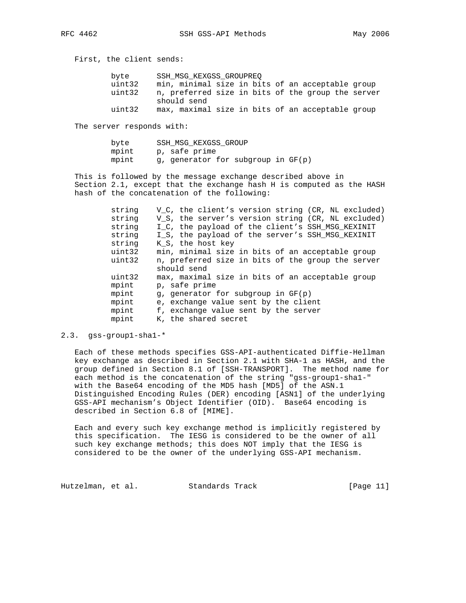First, the client sends:

| byte   | SSH MSG KEXGSS GROUPREO                           |
|--------|---------------------------------------------------|
| uint32 | min, minimal size in bits of an acceptable group  |
| uint32 | n, preferred size in bits of the group the server |
|        | should send                                       |
| uint32 | max, maximal size in bits of an acceptable group  |

The server responds with:

| byte  | SSH MSG KEXGSS GROUP               |
|-------|------------------------------------|
| mpint | p, safe prime                      |
| mpint | q, generator for subgroup in GF(p) |

 This is followed by the message exchange described above in Section 2.1, except that the exchange hash H is computed as the HASH hash of the concatenation of the following:

| string | V_C, the client's version string (CR, NL excluded)             |
|--------|----------------------------------------------------------------|
| string | V <sub>S</sub> , the server's version string (CR, NL excluded) |
| string | I_C, the payload of the client's SSH_MSG_KEXINIT               |
| string | I S, the payload of the server's SSH MSG KEXINIT               |
| string | K S, the host key                                              |
| uint32 | min, minimal size in bits of an acceptable group               |
| uint32 | n, preferred size in bits of the group the server              |
|        | should send                                                    |
| uint32 | max, maximal size in bits of an acceptable group               |
| mpint  | p, safe prime                                                  |
| mpint  | q, generator for subgroup in GF(p)                             |
| mpint  | e, exchange value sent by the client                           |
| mpint  | f, exchange value sent by the server                           |
| mpint  | K, the shared secret                                           |

## 2.3. gss-group1-sha1-\*

 Each of these methods specifies GSS-API-authenticated Diffie-Hellman key exchange as described in Section 2.1 with SHA-1 as HASH, and the group defined in Section 8.1 of [SSH-TRANSPORT]. The method name for each method is the concatenation of the string "gss-group1-sha1-" with the Base64 encoding of the MD5 hash [MD5] of the ASN.1 Distinguished Encoding Rules (DER) encoding [ASN1] of the underlying GSS-API mechanism's Object Identifier (OID). Base64 encoding is described in Section 6.8 of [MIME].

 Each and every such key exchange method is implicitly registered by this specification. The IESG is considered to be the owner of all such key exchange methods; this does NOT imply that the IESG is considered to be the owner of the underlying GSS-API mechanism.

Hutzelman, et al. Standards Track [Page 11]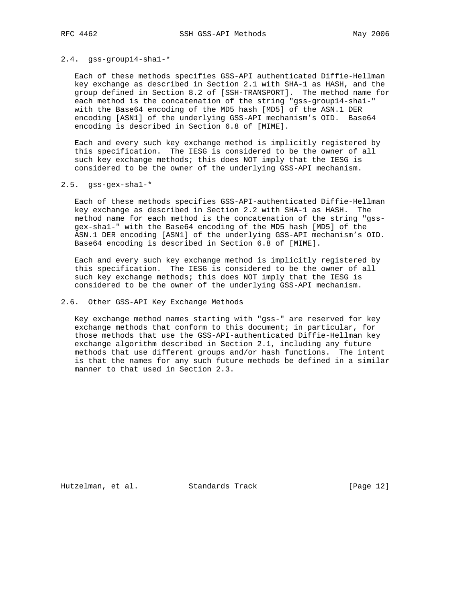#### 2.4. gss-group14-sha1-\*

 Each of these methods specifies GSS-API authenticated Diffie-Hellman key exchange as described in Section 2.1 with SHA-1 as HASH, and the group defined in Section 8.2 of [SSH-TRANSPORT]. The method name for each method is the concatenation of the string "gss-group14-sha1-" with the Base64 encoding of the MD5 hash [MD5] of the ASN.1 DER encoding [ASN1] of the underlying GSS-API mechanism's OID. Base64 encoding is described in Section 6.8 of [MIME].

 Each and every such key exchange method is implicitly registered by this specification. The IESG is considered to be the owner of all such key exchange methods; this does NOT imply that the IESG is considered to be the owner of the underlying GSS-API mechanism.

#### 2.5. gss-gex-sha1-\*

 Each of these methods specifies GSS-API-authenticated Diffie-Hellman key exchange as described in Section 2.2 with SHA-1 as HASH. The method name for each method is the concatenation of the string "gss gex-sha1-" with the Base64 encoding of the MD5 hash [MD5] of the ASN.1 DER encoding [ASN1] of the underlying GSS-API mechanism's OID. Base64 encoding is described in Section 6.8 of [MIME].

 Each and every such key exchange method is implicitly registered by this specification. The IESG is considered to be the owner of all such key exchange methods; this does NOT imply that the IESG is considered to be the owner of the underlying GSS-API mechanism.

# 2.6. Other GSS-API Key Exchange Methods

 Key exchange method names starting with "gss-" are reserved for key exchange methods that conform to this document; in particular, for those methods that use the GSS-API-authenticated Diffie-Hellman key exchange algorithm described in Section 2.1, including any future methods that use different groups and/or hash functions. The intent is that the names for any such future methods be defined in a similar manner to that used in Section 2.3.

Hutzelman, et al. Standards Track [Page 12]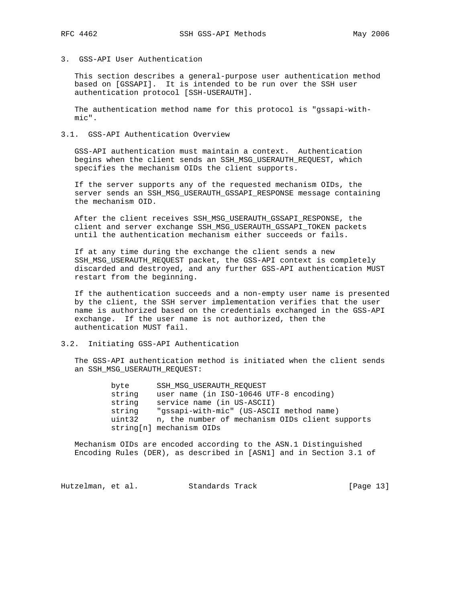3. GSS-API User Authentication

 This section describes a general-purpose user authentication method based on [GSSAPI]. It is intended to be run over the SSH user authentication protocol [SSH-USERAUTH].

 The authentication method name for this protocol is "gssapi-with mic".

# 3.1. GSS-API Authentication Overview

 GSS-API authentication must maintain a context. Authentication begins when the client sends an SSH\_MSG\_USERAUTH\_REQUEST, which specifies the mechanism OIDs the client supports.

 If the server supports any of the requested mechanism OIDs, the server sends an SSH\_MSG\_USERAUTH\_GSSAPI\_RESPONSE message containing the mechanism OID.

 After the client receives SSH\_MSG\_USERAUTH\_GSSAPI\_RESPONSE, the client and server exchange SSH\_MSG\_USERAUTH\_GSSAPI\_TOKEN packets until the authentication mechanism either succeeds or fails.

 If at any time during the exchange the client sends a new SSH\_MSG\_USERAUTH\_REQUEST packet, the GSS-API context is completely discarded and destroyed, and any further GSS-API authentication MUST restart from the beginning.

 If the authentication succeeds and a non-empty user name is presented by the client, the SSH server implementation verifies that the user name is authorized based on the credentials exchanged in the GSS-API exchange. If the user name is not authorized, then the authentication MUST fail.

3.2. Initiating GSS-API Authentication

 The GSS-API authentication method is initiated when the client sends an SSH\_MSG\_USERAUTH\_REQUEST:

> byte SSH\_MSG\_USERAUTH\_REQUEST string user name (in ISO-10646 UTF-8 encoding) string service name (in US-ASCII) string "gssapi-with-mic" (US-ASCII method name) uint32 n, the number of mechanism OIDs client supports string[n] mechanism OIDs

 Mechanism OIDs are encoded according to the ASN.1 Distinguished Encoding Rules (DER), as described in [ASN1] and in Section 3.1 of

Hutzelman, et al. Standards Track [Page 13]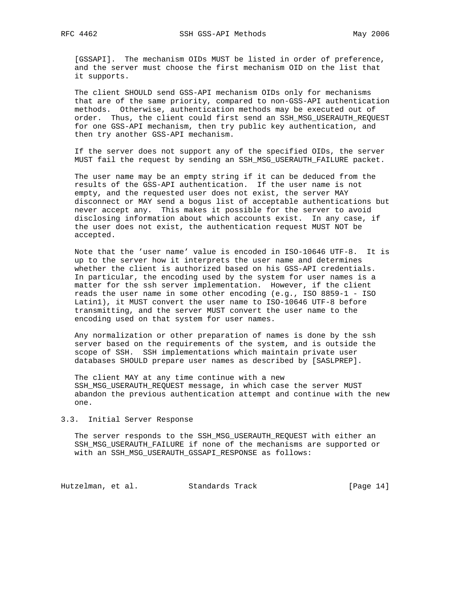[GSSAPI]. The mechanism OIDs MUST be listed in order of preference, and the server must choose the first mechanism OID on the list that it supports.

 The client SHOULD send GSS-API mechanism OIDs only for mechanisms that are of the same priority, compared to non-GSS-API authentication methods. Otherwise, authentication methods may be executed out of order. Thus, the client could first send an SSH\_MSG\_USERAUTH\_REQUEST for one GSS-API mechanism, then try public key authentication, and then try another GSS-API mechanism.

 If the server does not support any of the specified OIDs, the server MUST fail the request by sending an SSH MSG USERAUTH FAILURE packet.

 The user name may be an empty string if it can be deduced from the results of the GSS-API authentication. If the user name is not empty, and the requested user does not exist, the server MAY disconnect or MAY send a bogus list of acceptable authentications but never accept any. This makes it possible for the server to avoid disclosing information about which accounts exist. In any case, if the user does not exist, the authentication request MUST NOT be accepted.

 Note that the 'user name' value is encoded in ISO-10646 UTF-8. It is up to the server how it interprets the user name and determines whether the client is authorized based on his GSS-API credentials. In particular, the encoding used by the system for user names is a matter for the ssh server implementation. However, if the client reads the user name in some other encoding (e.g., ISO 8859-1 - ISO Latin1), it MUST convert the user name to ISO-10646 UTF-8 before transmitting, and the server MUST convert the user name to the encoding used on that system for user names.

 Any normalization or other preparation of names is done by the ssh server based on the requirements of the system, and is outside the scope of SSH. SSH implementations which maintain private user databases SHOULD prepare user names as described by [SASLPREP].

 The client MAY at any time continue with a new SSH\_MSG\_USERAUTH\_REQUEST message, in which case the server MUST abandon the previous authentication attempt and continue with the new one.

#### 3.3. Initial Server Response

 The server responds to the SSH\_MSG\_USERAUTH\_REQUEST with either an SSH\_MSG\_USERAUTH\_FAILURE if none of the mechanisms are supported or with an SSH\_MSG\_USERAUTH\_GSSAPI\_RESPONSE as follows:

Hutzelman, et al. Standards Track [Page 14]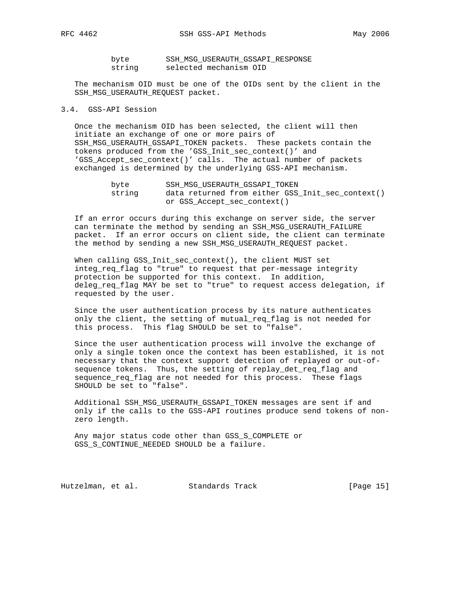byte SSH\_MSG\_USERAUTH\_GSSAPI\_RESPONSE string selected mechanism OID

 The mechanism OID must be one of the OIDs sent by the client in the SSH\_MSG\_USERAUTH\_REQUEST packet.

## 3.4. GSS-API Session

 Once the mechanism OID has been selected, the client will then initiate an exchange of one or more pairs of SSH\_MSG\_USERAUTH\_GSSAPI\_TOKEN packets. These packets contain the tokens produced from the 'GSS\_Init\_sec\_context()' and 'GSS\_Accept\_sec\_context()' calls. The actual number of packets exchanged is determined by the underlying GSS-API mechanism.

| byte   | SSH MSG USERAUTH GSSAPI TOKEN                    |
|--------|--------------------------------------------------|
| string | data returned from either GSS_Init_sec_context() |
|        | or GSS Accept sec context()                      |

 If an error occurs during this exchange on server side, the server can terminate the method by sending an SSH\_MSG\_USERAUTH\_FAILURE packet. If an error occurs on client side, the client can terminate the method by sending a new SSH\_MSG\_USERAUTH\_REQUEST packet.

 When calling GSS\_Init\_sec\_context(), the client MUST set integ\_req\_flag to "true" to request that per-message integrity protection be supported for this context. In addition, deleg\_req\_flag MAY be set to "true" to request access delegation, if requested by the user.

 Since the user authentication process by its nature authenticates only the client, the setting of mutual\_req\_flag is not needed for this process. This flag SHOULD be set to "false".

 Since the user authentication process will involve the exchange of only a single token once the context has been established, it is not necessary that the context support detection of replayed or out-of sequence tokens. Thus, the setting of replay\_det\_req\_flag and sequence\_req\_flag are not needed for this process. These flags SHOULD be set to "false".

 Additional SSH\_MSG\_USERAUTH\_GSSAPI\_TOKEN messages are sent if and only if the calls to the GSS-API routines produce send tokens of non zero length.

 Any major status code other than GSS\_S\_COMPLETE or GSS\_S\_CONTINUE\_NEEDED SHOULD be a failure.

Hutzelman, et al. Standards Track [Page 15]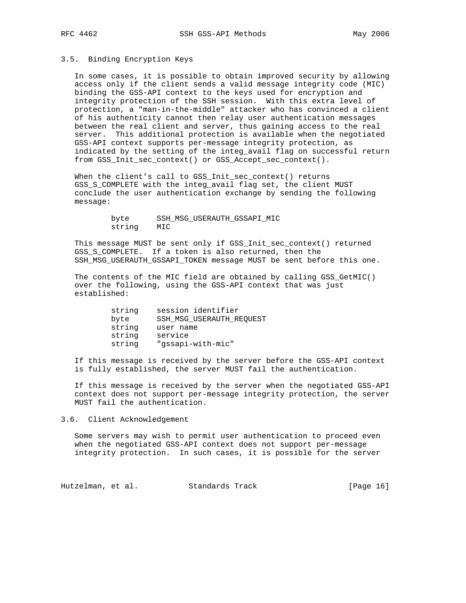# 3.5. Binding Encryption Keys

 In some cases, it is possible to obtain improved security by allowing access only if the client sends a valid message integrity code (MIC) binding the GSS-API context to the keys used for encryption and integrity protection of the SSH session. With this extra level of protection, a "man-in-the-middle" attacker who has convinced a client of his authenticity cannot then relay user authentication messages between the real client and server, thus gaining access to the real server. This additional protection is available when the negotiated GSS-API context supports per-message integrity protection, as indicated by the setting of the integ\_avail flag on successful return from GSS\_Init\_sec\_context() or GSS\_Accept\_sec\_context().

When the client's call to GSS\_Init\_sec\_context() returns GSS\_S\_COMPLETE with the integ\_avail flag set, the client MUST conclude the user authentication exchange by sending the following message:

> byte SSH\_MSG\_USERAUTH\_GSSAPI\_MIC string MIC

 This message MUST be sent only if GSS\_Init\_sec\_context() returned GSS\_S\_COMPLETE. If a token is also returned, then the SSH\_MSG\_USERAUTH\_GSSAPI\_TOKEN message MUST be sent before this one.

 The contents of the MIC field are obtained by calling GSS\_GetMIC() over the following, using the GSS-API context that was just established:

| string | session identifier       |
|--------|--------------------------|
| byte   | SSH_MSG_USERAUTH_REQUEST |
| string | user name                |
| string | service                  |
| string | "qssapi-with-mic"        |

 If this message is received by the server before the GSS-API context is fully established, the server MUST fail the authentication.

 If this message is received by the server when the negotiated GSS-API context does not support per-message integrity protection, the server MUST fail the authentication.

3.6. Client Acknowledgement

 Some servers may wish to permit user authentication to proceed even when the negotiated GSS-API context does not support per-message integrity protection. In such cases, it is possible for the server

Hutzelman, et al. Standards Track [Page 16]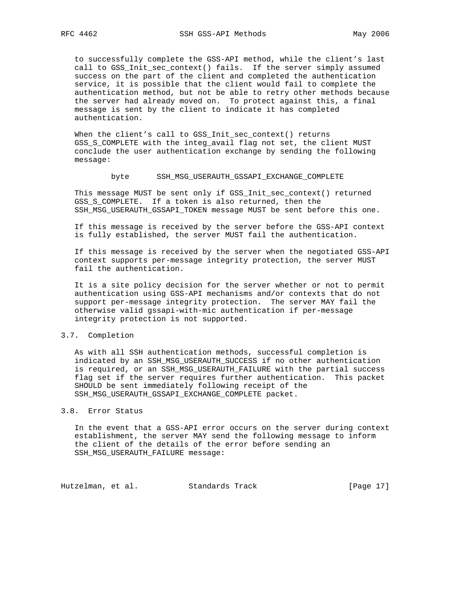to successfully complete the GSS-API method, while the client's last call to GSS\_Init\_sec\_context() fails. If the server simply assumed success on the part of the client and completed the authentication service, it is possible that the client would fail to complete the authentication method, but not be able to retry other methods because the server had already moved on. To protect against this, a final message is sent by the client to indicate it has completed authentication.

When the client's call to GSS Init sec context() returns GSS\_S\_COMPLETE with the integ\_avail flag not set, the client MUST conclude the user authentication exchange by sending the following message:

#### byte SSH\_MSG\_USERAUTH\_GSSAPI\_EXCHANGE\_COMPLETE

 This message MUST be sent only if GSS\_Init\_sec\_context() returned GSS\_S\_COMPLETE. If a token is also returned, then the SSH\_MSG\_USERAUTH\_GSSAPI\_TOKEN message MUST be sent before this one.

 If this message is received by the server before the GSS-API context is fully established, the server MUST fail the authentication.

 If this message is received by the server when the negotiated GSS-API context supports per-message integrity protection, the server MUST fail the authentication.

 It is a site policy decision for the server whether or not to permit authentication using GSS-API mechanisms and/or contexts that do not support per-message integrity protection. The server MAY fail the otherwise valid gssapi-with-mic authentication if per-message integrity protection is not supported.

## 3.7. Completion

 As with all SSH authentication methods, successful completion is indicated by an SSH\_MSG\_USERAUTH\_SUCCESS if no other authentication is required, or an SSH\_MSG\_USERAUTH\_FAILURE with the partial success flag set if the server requires further authentication. This packet SHOULD be sent immediately following receipt of the SSH\_MSG\_USERAUTH\_GSSAPI\_EXCHANGE\_COMPLETE packet.

#### 3.8. Error Status

 In the event that a GSS-API error occurs on the server during context establishment, the server MAY send the following message to inform the client of the details of the error before sending an SSH\_MSG\_USERAUTH\_FAILURE message:

Hutzelman, et al. Standards Track [Page 17]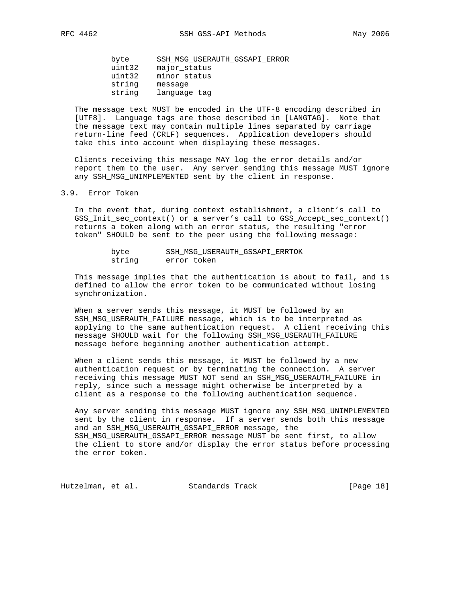byte SSH\_MSG\_USERAUTH\_GSSAPI\_ERROR uint32 major\_status uint32 minor\_status string message string language tag

 The message text MUST be encoded in the UTF-8 encoding described in [UTF8]. Language tags are those described in [LANGTAG]. Note that the message text may contain multiple lines separated by carriage return-line feed (CRLF) sequences. Application developers should take this into account when displaying these messages.

 Clients receiving this message MAY log the error details and/or report them to the user. Any server sending this message MUST ignore any SSH\_MSG\_UNIMPLEMENTED sent by the client in response.

#### 3.9. Error Token

 In the event that, during context establishment, a client's call to GSS\_Init\_sec\_context() or a server's call to GSS\_Accept\_sec\_context() returns a token along with an error status, the resulting "error token" SHOULD be sent to the peer using the following message:

| byte   | SSH MSG USERAUTH GSSAPI ERRTOK |
|--------|--------------------------------|
| string | error token                    |

 This message implies that the authentication is about to fail, and is defined to allow the error token to be communicated without losing synchronization.

 When a server sends this message, it MUST be followed by an SSH\_MSG\_USERAUTH\_FAILURE message, which is to be interpreted as applying to the same authentication request. A client receiving this message SHOULD wait for the following SSH\_MSG\_USERAUTH\_FAILURE message before beginning another authentication attempt.

 When a client sends this message, it MUST be followed by a new authentication request or by terminating the connection. A server receiving this message MUST NOT send an SSH\_MSG\_USERAUTH\_FAILURE in reply, since such a message might otherwise be interpreted by a client as a response to the following authentication sequence.

 Any server sending this message MUST ignore any SSH\_MSG\_UNIMPLEMENTED sent by the client in response. If a server sends both this message and an SSH\_MSG\_USERAUTH\_GSSAPI\_ERROR message, the SSH\_MSG\_USERAUTH\_GSSAPI\_ERROR message MUST be sent first, to allow the client to store and/or display the error status before processing the error token.

Hutzelman, et al. Standards Track [Page 18]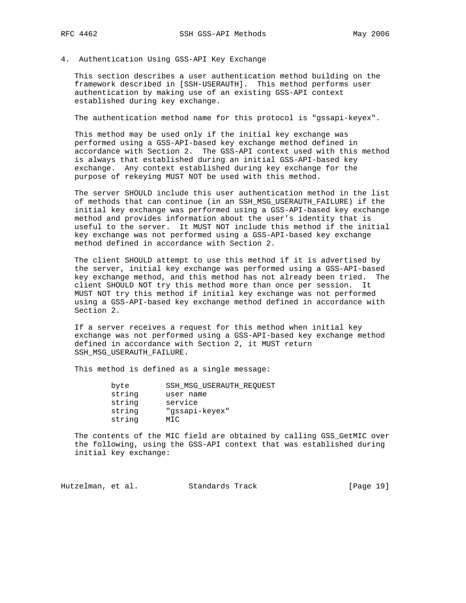4. Authentication Using GSS-API Key Exchange

 This section describes a user authentication method building on the framework described in [SSH-USERAUTH]. This method performs user authentication by making use of an existing GSS-API context established during key exchange.

The authentication method name for this protocol is "gssapi-keyex".

 This method may be used only if the initial key exchange was performed using a GSS-API-based key exchange method defined in accordance with Section 2. The GSS-API context used with this method is always that established during an initial GSS-API-based key exchange. Any context established during key exchange for the purpose of rekeying MUST NOT be used with this method.

 The server SHOULD include this user authentication method in the list of methods that can continue (in an SSH\_MSG\_USERAUTH\_FAILURE) if the initial key exchange was performed using a GSS-API-based key exchange method and provides information about the user's identity that is useful to the server. It MUST NOT include this method if the initial key exchange was not performed using a GSS-API-based key exchange method defined in accordance with Section 2.

 The client SHOULD attempt to use this method if it is advertised by the server, initial key exchange was performed using a GSS-API-based key exchange method, and this method has not already been tried. The client SHOULD NOT try this method more than once per session. It MUST NOT try this method if initial key exchange was not performed using a GSS-API-based key exchange method defined in accordance with Section 2.

 If a server receives a request for this method when initial key exchange was not performed using a GSS-API-based key exchange method defined in accordance with Section 2, it MUST return SSH\_MSG\_USERAUTH\_FAILURE.

This method is defined as a single message:

| byte   | SSH MSG USERAUTH REOUEST |
|--------|--------------------------|
| string | user name                |
| string | service                  |
| string | "gssapi-keyex"           |
| string | MIC                      |
|        |                          |

 The contents of the MIC field are obtained by calling GSS\_GetMIC over the following, using the GSS-API context that was established during initial key exchange:

Hutzelman, et al. Standards Track [Page 19]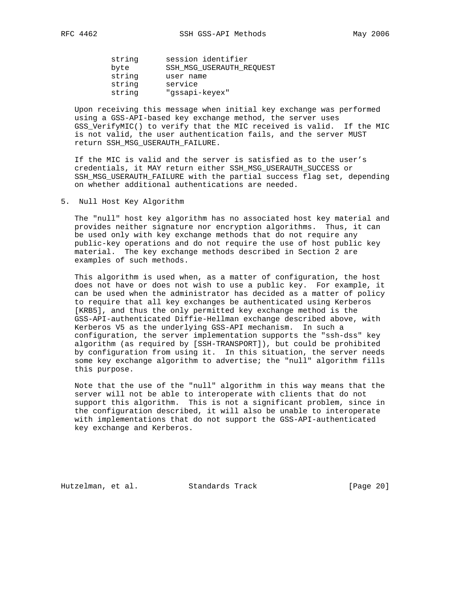string session identifier byte SSH\_MSG\_USERAUTH\_REQUEST string user name string service string "gssapi-keyex"

 Upon receiving this message when initial key exchange was performed using a GSS-API-based key exchange method, the server uses GSS\_VerifyMIC() to verify that the MIC received is valid. If the MIC is not valid, the user authentication fails, and the server MUST return SSH\_MSG\_USERAUTH\_FAILURE.

 If the MIC is valid and the server is satisfied as to the user's credentials, it MAY return either SSH\_MSG\_USERAUTH\_SUCCESS or SSH\_MSG\_USERAUTH\_FAILURE with the partial success flag set, depending on whether additional authentications are needed.

5. Null Host Key Algorithm

 The "null" host key algorithm has no associated host key material and provides neither signature nor encryption algorithms. Thus, it can be used only with key exchange methods that do not require any public-key operations and do not require the use of host public key material. The key exchange methods described in Section 2 are examples of such methods.

 This algorithm is used when, as a matter of configuration, the host does not have or does not wish to use a public key. For example, it can be used when the administrator has decided as a matter of policy to require that all key exchanges be authenticated using Kerberos [KRB5], and thus the only permitted key exchange method is the GSS-API-authenticated Diffie-Hellman exchange described above, with Kerberos V5 as the underlying GSS-API mechanism. In such a configuration, the server implementation supports the "ssh-dss" key algorithm (as required by [SSH-TRANSPORT]), but could be prohibited by configuration from using it. In this situation, the server needs some key exchange algorithm to advertise; the "null" algorithm fills this purpose.

 Note that the use of the "null" algorithm in this way means that the server will not be able to interoperate with clients that do not support this algorithm. This is not a significant problem, since in the configuration described, it will also be unable to interoperate with implementations that do not support the GSS-API-authenticated key exchange and Kerberos.

Hutzelman, et al. Standards Track [Page 20]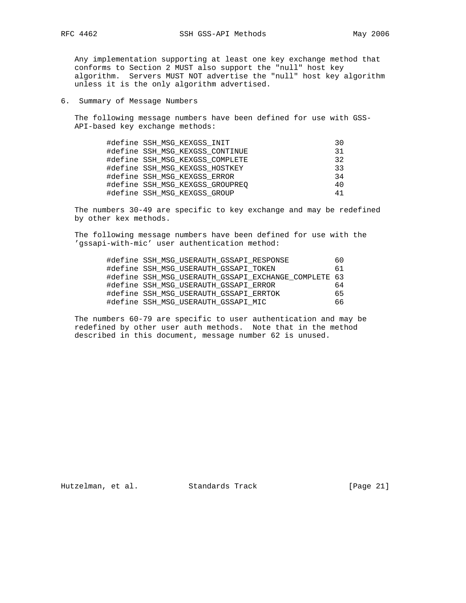Any implementation supporting at least one key exchange method that conforms to Section 2 MUST also support the "null" host key algorithm. Servers MUST NOT advertise the "null" host key algorithm unless it is the only algorithm advertised.

6. Summary of Message Numbers

 The following message numbers have been defined for use with GSS- API-based key exchange methods:

| #define SSH MSG KEXGSS INIT     | 30        |
|---------------------------------|-----------|
| #define SSH MSG KEXGSS CONTINUE | <b>31</b> |
| #define SSH MSG KEXGSS COMPLETE | 32        |
| #define SSH MSG KEXGSS HOSTKEY  | 33        |
| #define SSH MSG KEXGSS ERROR    | 34        |
| #define SSH MSG KEXGSS GROUPREO | 40        |
| #define SSH MSG KEXGSS GROUP    | 41        |

 The numbers 30-49 are specific to key exchange and may be redefined by other kex methods.

 The following message numbers have been defined for use with the 'gssapi-with-mic' user authentication method:

| #define SSH MSG USERAUTH GSSAPI RESPONSE             | 60  |
|------------------------------------------------------|-----|
| #define SSH MSG USERAUTH GSSAPI TOKEN                | 61  |
| #define SSH MSG USERAUTH GSSAPI EXCHANGE COMPLETE 63 |     |
| #define SSH MSG USERAUTH GSSAPI ERROR                | 64  |
| #define SSH MSG USERAUTH GSSAPI ERRTOK               | 65  |
| #define SSH MSG USERAUTH GSSAPI MIC                  | 66. |

 The numbers 60-79 are specific to user authentication and may be redefined by other user auth methods. Note that in the method described in this document, message number 62 is unused.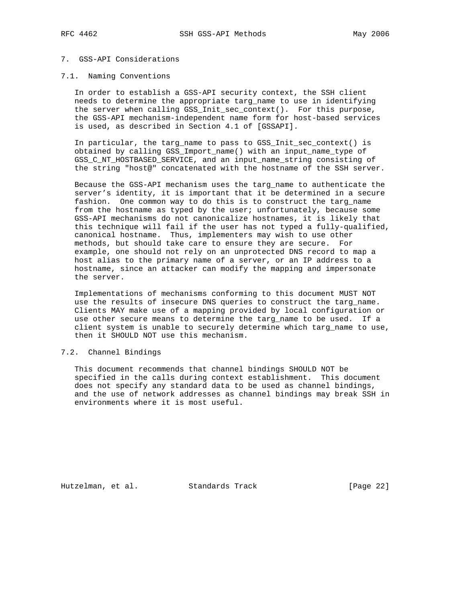# 7. GSS-API Considerations

#### 7.1. Naming Conventions

 In order to establish a GSS-API security context, the SSH client needs to determine the appropriate targ\_name to use in identifying the server when calling GSS\_Init\_sec\_context(). For this purpose, the GSS-API mechanism-independent name form for host-based services is used, as described in Section 4.1 of [GSSAPI].

 In particular, the targ\_name to pass to GSS\_Init\_sec\_context() is obtained by calling GSS\_Import\_name() with an input\_name\_type of GSS\_C\_NT\_HOSTBASED\_SERVICE, and an input\_name\_string consisting of the string "host@" concatenated with the hostname of the SSH server.

 Because the GSS-API mechanism uses the targ\_name to authenticate the server's identity, it is important that it be determined in a secure fashion. One common way to do this is to construct the targ\_name from the hostname as typed by the user; unfortunately, because some GSS-API mechanisms do not canonicalize hostnames, it is likely that this technique will fail if the user has not typed a fully-qualified, canonical hostname. Thus, implementers may wish to use other methods, but should take care to ensure they are secure. For example, one should not rely on an unprotected DNS record to map a host alias to the primary name of a server, or an IP address to a hostname, since an attacker can modify the mapping and impersonate the server.

 Implementations of mechanisms conforming to this document MUST NOT use the results of insecure DNS queries to construct the targ\_name. Clients MAY make use of a mapping provided by local configuration or use other secure means to determine the targ\_name to be used. If a client system is unable to securely determine which targ\_name to use, then it SHOULD NOT use this mechanism.

## 7.2. Channel Bindings

 This document recommends that channel bindings SHOULD NOT be specified in the calls during context establishment. This document does not specify any standard data to be used as channel bindings, and the use of network addresses as channel bindings may break SSH in environments where it is most useful.

Hutzelman, et al. Standards Track [Page 22]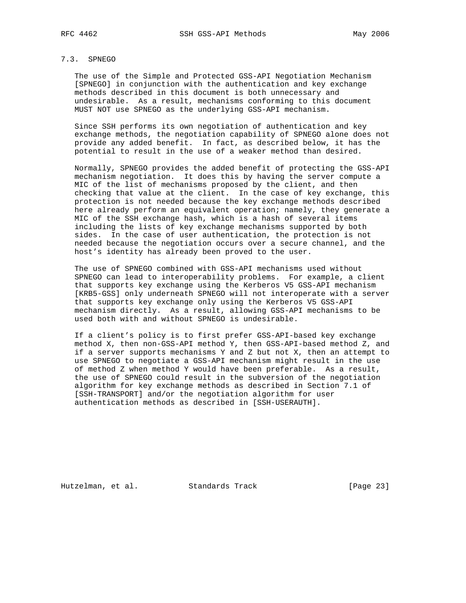# 7.3. SPNEGO

 The use of the Simple and Protected GSS-API Negotiation Mechanism [SPNEGO] in conjunction with the authentication and key exchange methods described in this document is both unnecessary and undesirable. As a result, mechanisms conforming to this document MUST NOT use SPNEGO as the underlying GSS-API mechanism.

 Since SSH performs its own negotiation of authentication and key exchange methods, the negotiation capability of SPNEGO alone does not provide any added benefit. In fact, as described below, it has the potential to result in the use of a weaker method than desired.

 Normally, SPNEGO provides the added benefit of protecting the GSS-API mechanism negotiation. It does this by having the server compute a MIC of the list of mechanisms proposed by the client, and then checking that value at the client. In the case of key exchange, this protection is not needed because the key exchange methods described here already perform an equivalent operation; namely, they generate a MIC of the SSH exchange hash, which is a hash of several items including the lists of key exchange mechanisms supported by both sides. In the case of user authentication, the protection is not needed because the negotiation occurs over a secure channel, and the host's identity has already been proved to the user.

 The use of SPNEGO combined with GSS-API mechanisms used without SPNEGO can lead to interoperability problems. For example, a client that supports key exchange using the Kerberos V5 GSS-API mechanism [KRB5-GSS] only underneath SPNEGO will not interoperate with a server that supports key exchange only using the Kerberos V5 GSS-API mechanism directly. As a result, allowing GSS-API mechanisms to be used both with and without SPNEGO is undesirable.

 If a client's policy is to first prefer GSS-API-based key exchange method X, then non-GSS-API method Y, then GSS-API-based method Z, and if a server supports mechanisms Y and Z but not X, then an attempt to use SPNEGO to negotiate a GSS-API mechanism might result in the use of method Z when method Y would have been preferable. As a result, the use of SPNEGO could result in the subversion of the negotiation algorithm for key exchange methods as described in Section 7.1 of [SSH-TRANSPORT] and/or the negotiation algorithm for user authentication methods as described in [SSH-USERAUTH].

Hutzelman, et al. Standards Track [Page 23]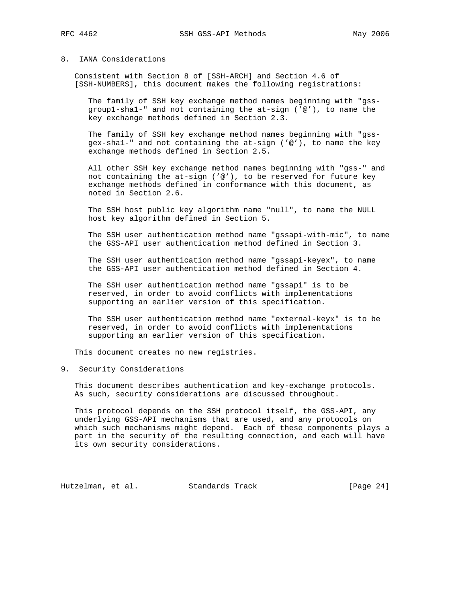#### 8. IANA Considerations

 Consistent with Section 8 of [SSH-ARCH] and Section 4.6 of [SSH-NUMBERS], this document makes the following registrations:

 The family of SSH key exchange method names beginning with "gss group1-sha1-" and not containing the at-sign ('@'), to name the key exchange methods defined in Section 2.3.

 The family of SSH key exchange method names beginning with "gss gex-sha1-" and not containing the at-sign ('@'), to name the key exchange methods defined in Section 2.5.

 All other SSH key exchange method names beginning with "gss-" and not containing the at-sign ( $'@'$ ), to be reserved for future key exchange methods defined in conformance with this document, as noted in Section 2.6.

 The SSH host public key algorithm name "null", to name the NULL host key algorithm defined in Section 5.

 The SSH user authentication method name "gssapi-with-mic", to name the GSS-API user authentication method defined in Section 3.

 The SSH user authentication method name "gssapi-keyex", to name the GSS-API user authentication method defined in Section 4.

 The SSH user authentication method name "gssapi" is to be reserved, in order to avoid conflicts with implementations supporting an earlier version of this specification.

 The SSH user authentication method name "external-keyx" is to be reserved, in order to avoid conflicts with implementations supporting an earlier version of this specification.

This document creates no new registries.

9. Security Considerations

 This document describes authentication and key-exchange protocols. As such, security considerations are discussed throughout.

 This protocol depends on the SSH protocol itself, the GSS-API, any underlying GSS-API mechanisms that are used, and any protocols on which such mechanisms might depend. Each of these components plays a part in the security of the resulting connection, and each will have its own security considerations.

Hutzelman, et al. Standards Track [Page 24]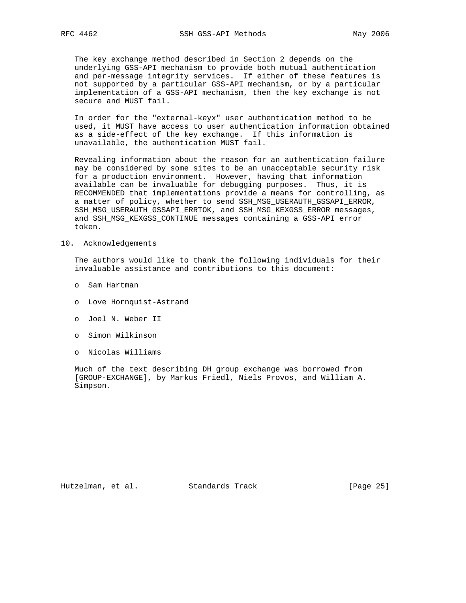The key exchange method described in Section 2 depends on the underlying GSS-API mechanism to provide both mutual authentication and per-message integrity services. If either of these features is not supported by a particular GSS-API mechanism, or by a particular implementation of a GSS-API mechanism, then the key exchange is not secure and MUST fail.

 In order for the "external-keyx" user authentication method to be used, it MUST have access to user authentication information obtained as a side-effect of the key exchange. If this information is unavailable, the authentication MUST fail.

 Revealing information about the reason for an authentication failure may be considered by some sites to be an unacceptable security risk for a production environment. However, having that information available can be invaluable for debugging purposes. Thus, it is RECOMMENDED that implementations provide a means for controlling, as a matter of policy, whether to send SSH\_MSG\_USERAUTH\_GSSAPI\_ERROR, SSH\_MSG\_USERAUTH\_GSSAPI\_ERRTOK, and SSH\_MSG\_KEXGSS\_ERROR messages, and SSH\_MSG\_KEXGSS\_CONTINUE messages containing a GSS-API error token.

#### 10. Acknowledgements

 The authors would like to thank the following individuals for their invaluable assistance and contributions to this document:

- o Sam Hartman
- o Love Hornquist-Astrand
- o Joel N. Weber II
- o Simon Wilkinson
- o Nicolas Williams

 Much of the text describing DH group exchange was borrowed from [GROUP-EXCHANGE], by Markus Friedl, Niels Provos, and William A. Simpson.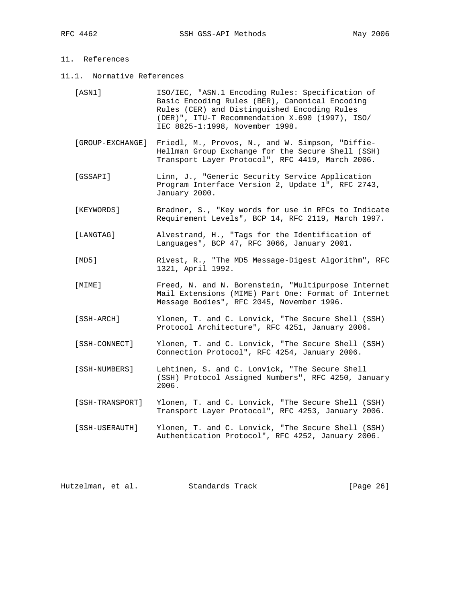# 11. References

11.1. Normative References

| [ASN1]           | ISO/IEC, "ASN.1 Encoding Rules: Specification of<br>Basic Encoding Rules (BER), Canonical Encoding<br>Rules (CER) and Distinguished Encoding Rules<br>(DER)", ITU-T Recommendation X.690 (1997), ISO/<br>IEC 8825-1:1998, November 1998. |
|------------------|------------------------------------------------------------------------------------------------------------------------------------------------------------------------------------------------------------------------------------------|
| [GROUP-EXCHANGE] | Friedl, M., Provos, N., and W. Simpson, "Diffie-<br>Hellman Group Exchange for the Secure Shell (SSH)<br>Transport Layer Protocol", RFC 4419, March 2006.                                                                                |
| [GSSAPI]         | Linn, J., "Generic Security Service Application<br>Program Interface Version 2, Update 1", RFC 2743,<br>January 2000.                                                                                                                    |
| [KEYWORDS]       | Bradner, S., "Key words for use in RFCs to Indicate<br>Requirement Levels", BCP 14, RFC 2119, March 1997.                                                                                                                                |
| [LANGTAG]        | Alvestrand, H., "Tags for the Identification of<br>Languages", BCP 47, RFC 3066, January 2001.                                                                                                                                           |
| [MD5]            | Rivest, R., "The MD5 Message-Digest Algorithm", RFC<br>1321, April 1992.                                                                                                                                                                 |
| $[$ MIME $]$     | Freed, N. and N. Borenstein, "Multipurpose Internet<br>Mail Extensions (MIME) Part One: Format of Internet<br>Message Bodies", RFC 2045, November 1996.                                                                                  |
| [SSH-ARCH]       | Ylonen, T. and C. Lonvick, "The Secure Shell (SSH)<br>Protocol Architecture", RFC 4251, January 2006.                                                                                                                                    |
| [SSH-CONNECT]    | Ylonen, T. and C. Lonvick, "The Secure Shell (SSH)<br>Connection Protocol", RFC 4254, January 2006.                                                                                                                                      |
| [SSH-NUMBERS]    | Lehtinen, S. and C. Lonvick, "The Secure Shell<br>(SSH) Protocol Assigned Numbers", RFC 4250, January<br>2006.                                                                                                                           |
| [SSH-TRANSPORT]  | Ylonen, T. and C. Lonvick, "The Secure Shell (SSH)<br>Transport Layer Protocol", RFC 4253, January 2006.                                                                                                                                 |
| [SSH-USERAUTH]   | Ylonen, T. and C. Lonvick, "The Secure Shell (SSH)<br>Authentication Protocol", RFC 4252, January 2006.                                                                                                                                  |

Hutzelman, et al. Standards Track [Page 26]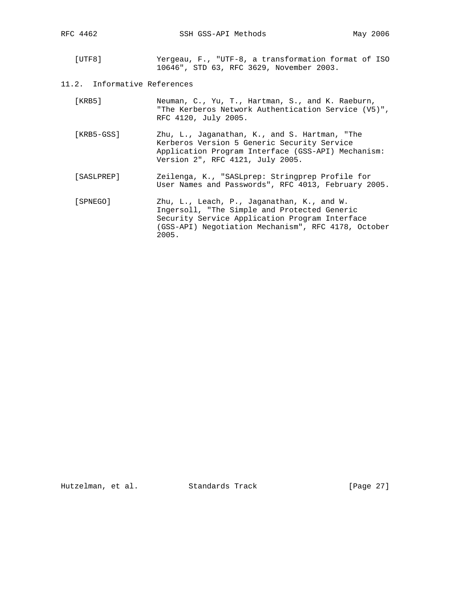[UTF8] Yergeau, F., "UTF-8, a transformation format of ISO 10646", STD 63, RFC 3629, November 2003.

# 11.2. Informative References

| [ KRB5 ] | Neuman, C., Yu, T., Hartman, S., and K. Raeburn,    |  |  |  |
|----------|-----------------------------------------------------|--|--|--|
|          | "The Kerberos Network Authentication Service (V5)", |  |  |  |
|          | RFC 4120, July 2005.                                |  |  |  |

- [KRB5-GSS] Zhu, L., Jaganathan, K., and S. Hartman, "The Kerberos Version 5 Generic Security Service Application Program Interface (GSS-API) Mechanism: Version 2", RFC 4121, July 2005.
- [SASLPREP] Zeilenga, K., "SASLprep: Stringprep Profile for User Names and Passwords", RFC 4013, February 2005.
- [SPNEGO] Zhu, L., Leach, P., Jaganathan, K., and W. Ingersoll, "The Simple and Protected Generic Security Service Application Program Interface (GSS-API) Negotiation Mechanism", RFC 4178, October 2005.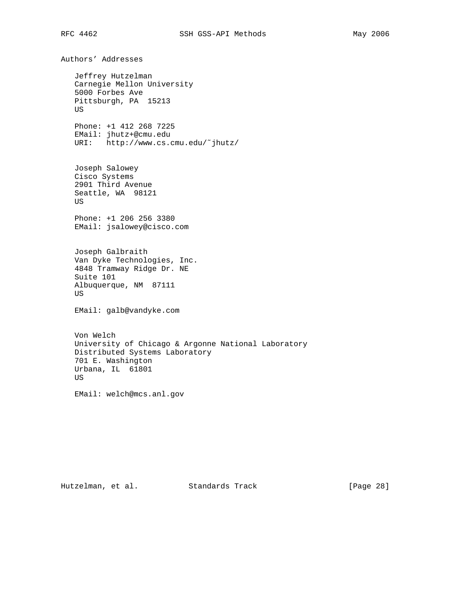Authors' Addresses Jeffrey Hutzelman Carnegie Mellon University 5000 Forbes Ave Pittsburgh, PA 15213 US Phone: +1 412 268 7225 EMail: jhutz+@cmu.edu URI: http://www.cs.cmu.edu/˜jhutz/ Joseph Salowey Cisco Systems 2901 Third Avenue Seattle, WA 98121 US Phone: +1 206 256 3380 EMail: jsalowey@cisco.com Joseph Galbraith Van Dyke Technologies, Inc. 4848 Tramway Ridge Dr. NE Suite 101 Albuquerque, NM 87111 US EMail: galb@vandyke.com Von Welch University of Chicago & Argonne National Laboratory Distributed Systems Laboratory 701 E. Washington Urbana, IL 61801 US

EMail: welch@mcs.anl.gov

Hutzelman, et al. Standards Track [Page 28]